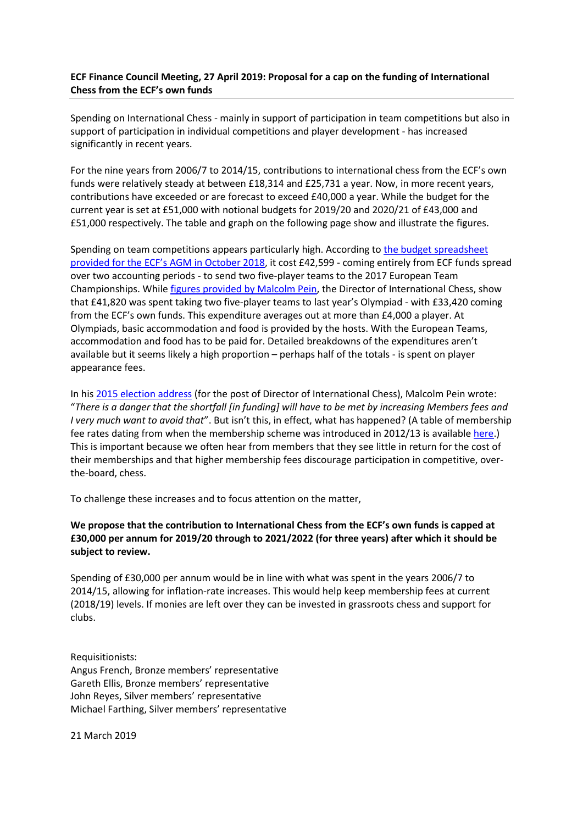## **ECF Finance Council Meeting, 27 April 2019: Proposal for a cap on the funding of International Chess from the ECF's own funds**

Spending on International Chess - mainly in support of participation in team competitions but also in support of participation in individual competitions and player development - has increased significantly in recent years.

For the nine years from 2006/7 to 2014/15, contributions to international chess from the ECF's own funds were relatively steady at between £18,314 and £25,731 a year. Now, in more recent years, contributions have exceeded or are forecast to exceed £40,000 a year. While the budget for the current year is set at £51,000 with notional budgets for 2019/20 and 2020/21 of £43,000 and £51,000 respectively. The table and graph on the following page show and illustrate the figures.

Spending on team competitions appears particularly high. According to [the budget spreadsheet](https://www.englishchess.org.uk/wp-content/uploads/2018/09/C29.12-a-Revised-ECF-Budget-1819.xls)  provided for the ECF's [AGM in October 2018,](https://www.englishchess.org.uk/wp-content/uploads/2018/09/C29.12-a-Revised-ECF-Budget-1819.xls) it cost £42,599 - coming entirely from ECF funds spread over two accounting periods - to send two five-player teams to the 2017 European Team Championships. While [figures provided by Malcolm Pein,](http://www.zen116966.zen.co.uk/ECF/Bronze/Batumi%20Olympiad%20Costs_Angus_Council.xlsx) the Director of International Chess, show that £41,820 was spent taking two five-player teams to last year's Olympiad - with £33,420 coming from the ECF's own funds. This expenditure averages out at more than £4,000 a player. At Olympiads, basic accommodation and food is provided by the hosts. With the European Teams, accommodation and food has to be paid for. Detailed breakdowns of the expenditures aren't available but it seems likely a high proportion – perhaps half of the totals - is spent on player appearance fees.

In his [2015 election address](https://www.englishchess.org.uk/wp-content/uploads/2015/09/Malcolm-Pein-2015-Election-Address.pdf) (for the post of Director of International Chess), Malcolm Pein wrote: "*There is a danger that the shortfall [in funding] will have to be met by increasing Members fees and I very much want to avoid that*". But isn't this, in effect, what has happened? (A table of membership fee rates dating from when the membership scheme was introduced in 2012/13 is available [here.](http://www.zen116966.zen.co.uk/ECF/Bronze/MembershipAndGameFeesv3.pdf)) This is important because we often hear from members that they see little in return for the cost of their memberships and that higher membership fees discourage participation in competitive, overthe-board, chess.

To challenge these increases and to focus attention on the matter,

## **We propose that the contribution to International Chess from the ECF's own funds is capped at £30,000 per annum for 2019/20 through to 2021/2022 (for three years) after which it should be subject to review.**

Spending of £30,000 per annum would be in line with what was spent in the years 2006/7 to 2014/15, allowing for inflation-rate increases. This would help keep membership fees at current (2018/19) levels. If monies are left over they can be invested in grassroots chess and support for clubs.

Requisitionists:

Angus French, Bronze members' representative Gareth Ellis, Bronze members' representative John Reyes, Silver members' representative Michael Farthing, Silver members' representative

21 March 2019